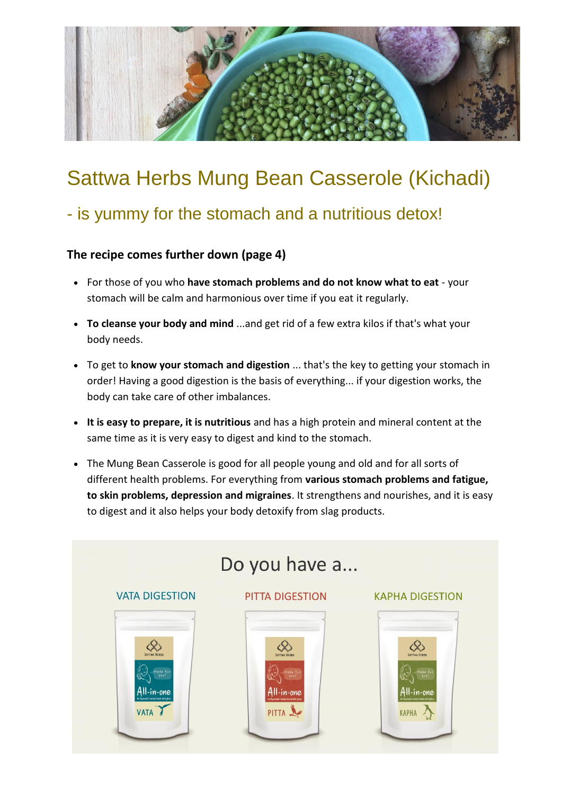

# Sattwa Herbs Mung Bean Casserole (Kichadi)

### - is yummy for the stomach and a nutritious detox!

### **The recipe comes further down (page 4)**

- For those of you who **have stomach problems and do not know what to eat** your stomach will be calm and harmonious over time if you eat it regularly.
- **To cleanse your body and mind** ...and get rid of a few extra kilos if that's what your body needs.
- To get to **know your stomach and digestion** ... that's the key to getting your stomach in order! Having a good digestion is the basis of everything... if your digestion works, the body can take care of other imbalances.
- **It is easy to prepare, it is nutritious** and has a high protein and mineral content at the same time as it is very easy to digest and kind to the stomach.
- The Mung Bean Casserole is good for all people young and old and for all sorts of different health problems. For everything from **various stomach problems and fatigue, to skin problems, depression and migraines**. It strengthens and nourishes, and it is easy to digest and it also helps your body detoxify from slag products.

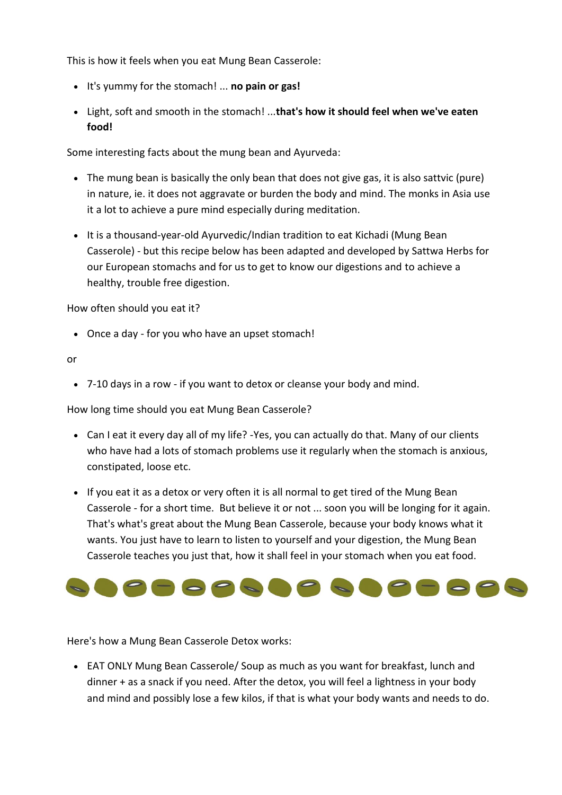This is how it feels when you eat Mung Bean Casserole:

- It's yummy for the stomach! ... **no pain or gas!**
- Light, soft and smooth in the stomach! ...**that's how it should feel when we've eaten food!**

Some interesting facts about the mung bean and Ayurveda:

- The mung bean is basically the only bean that does not give gas, it is also sattvic (pure) in nature, ie. it does not aggravate or burden the body and mind. The monks in Asia use it a lot to achieve a pure mind especially during meditation.
- It is a thousand-year-old Ayurvedic/Indian tradition to eat Kichadi (Mung Bean Casserole) - but this recipe below has been adapted and developed by Sattwa Herbs for our European stomachs and for us to get to know our digestions and to achieve a healthy, trouble free digestion.

How often should you eat it?

Once a day - for you who have an upset stomach!

or

7-10 days in a row - if you want to detox or cleanse your body and mind.

How long time should you eat Mung Bean Casserole?

- Can I eat it every day all of my life? -Yes, you can actually do that. Many of our clients who have had a lots of stomach problems use it regularly when the stomach is anxious, constipated, loose etc.
- If you eat it as a detox or very often it is all normal to get tired of the Mung Bean Casserole - for a short time. But believe it or not ... soon you will be longing for it again. That's what's great about the Mung Bean Casserole, because your body knows what it wants. You just have to learn to listen to yourself and your digestion, the Mung Bean Casserole teaches you just that, how it shall feel in your stomach when you eat food.



Here's how a Mung Bean Casserole Detox works:

 EAT ONLY Mung Bean Casserole/ Soup as much as you want for breakfast, lunch and dinner + as a snack if you need. After the detox, you will feel a lightness in your body and mind and possibly lose a few kilos, if that is what your body wants and needs to do.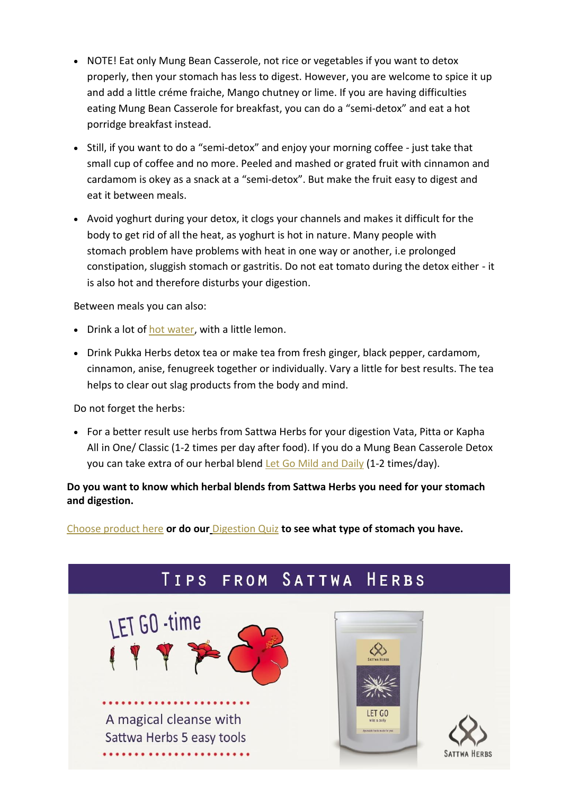- NOTE! Eat only Mung Bean Casserole, not rice or vegetables if you want to detox properly, then your stomach has less to digest. However, you are welcome to spice it up and add a little créme fraiche, Mango chutney or lime. If you are having difficulties eating Mung Bean Casserole for breakfast, you can do a "semi-detox" and eat a hot porridge breakfast instead.
- Still, if you want to do a "semi-detox" and enjoy your morning coffee just take that small cup of coffee and no more. Peeled and mashed or grated fruit with cinnamon and cardamom is okey as a snack at a "semi-detox". But make the fruit easy to digest and eat it between meals.
- Avoid yoghurt during your detox, it clogs your channels and makes it difficult for the body to get rid of all the heat, as yoghurt is hot in nature. Many people with stomach problem have problems with heat in one way or another, i.e prolonged constipation, sluggish stomach or gastritis. Do not eat tomato during the detox either - it is also hot and therefore disturbs your digestion.

Between meals you can also:

- Drink a lot of hot [water,](https://www.sattwaherbs.com/en/blog/post/to-drink-hot-water) with a little lemon.
- Drink Pukka Herbs detox tea or make tea from fresh ginger, black pepper, cardamom, cinnamon, anise, fenugreek together or individually. Vary a little for best results. The tea helps to clear out slag products from the body and mind.

Do not forget the herbs:

• For a better result use herbs from Sattwa Herbs for your digestion Vata, Pitta or Kapha All in One/ Classic (1-2 times per day after food). If you do a Mung Bean Casserole Detox you can take extra of our herbal blend [Let Go Mild and](https://www.sattwaherbs.com/en/product/let-go-mild-daily-eng) Daily (1-2 times/day).

**Do you want to know which herbal blends from Sattwa Herbs you need for your stomach and digestion.**

[Choose product here](https://www.sattwaherbs.com/en/page/choose-products) **or do our** [Digestion Quiz](https://www.sattwaherbs.com/en/page/digestion-quiz) **to see what type of stomach you have.**

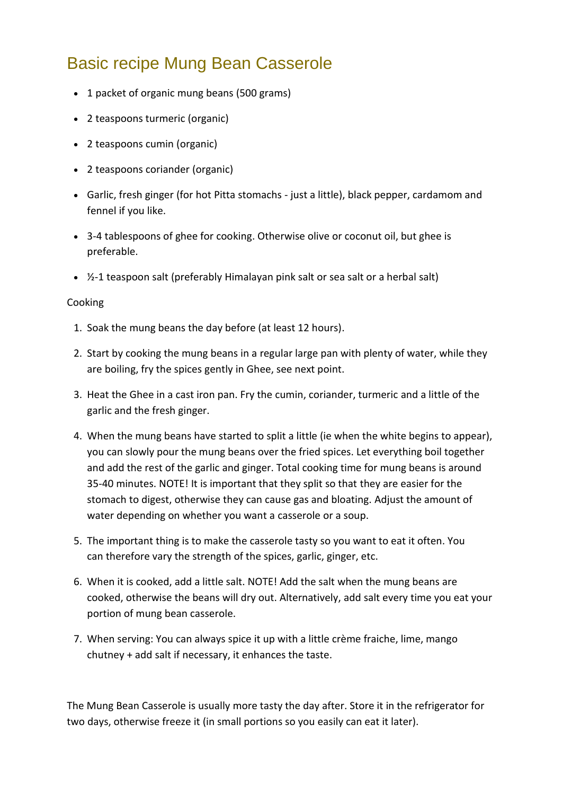## Basic recipe Mung Bean Casserole

- 1 packet of organic mung beans (500 grams)
- 2 teaspoons turmeric (organic)
- 2 teaspoons cumin (organic)
- 2 teaspoons coriander (organic)
- Garlic, fresh ginger (for hot Pitta stomachs just a little), black pepper, cardamom and fennel if you like.
- 3-4 tablespoons of ghee for cooking. Otherwise olive or coconut oil, but ghee is preferable.
- $\frac{1}{2}$ -1 teaspoon salt (preferably Himalayan pink salt or sea salt or a herbal salt)

#### Cooking

- 1. Soak the mung beans the day before (at least 12 hours).
- 2. Start by cooking the mung beans in a regular large pan with plenty of water, while they are boiling, fry the spices gently in Ghee, see next point.
- 3. Heat the Ghee in a cast iron pan. Fry the cumin, coriander, turmeric and a little of the garlic and the fresh ginger.
- 4. When the mung beans have started to split a little (ie when the white begins to appear), you can slowly pour the mung beans over the fried spices. Let everything boil together and add the rest of the garlic and ginger. Total cooking time for mung beans is around 35-40 minutes. NOTE! It is important that they split so that they are easier for the stomach to digest, otherwise they can cause gas and bloating. Adjust the amount of water depending on whether you want a casserole or a soup.
- 5. The important thing is to make the casserole tasty so you want to eat it often. You can therefore vary the strength of the spices, garlic, ginger, etc.
- 6. When it is cooked, add a little salt. NOTE! Add the salt when the mung beans are cooked, otherwise the beans will dry out. Alternatively, add salt every time you eat your portion of mung bean casserole.
- 7. When serving: You can always spice it up with a little crème fraiche, lime, mango chutney + add salt if necessary, it enhances the taste.

The Mung Bean Casserole is usually more tasty the day after. Store it in the refrigerator for two days, otherwise freeze it (in small portions so you easily can eat it later).